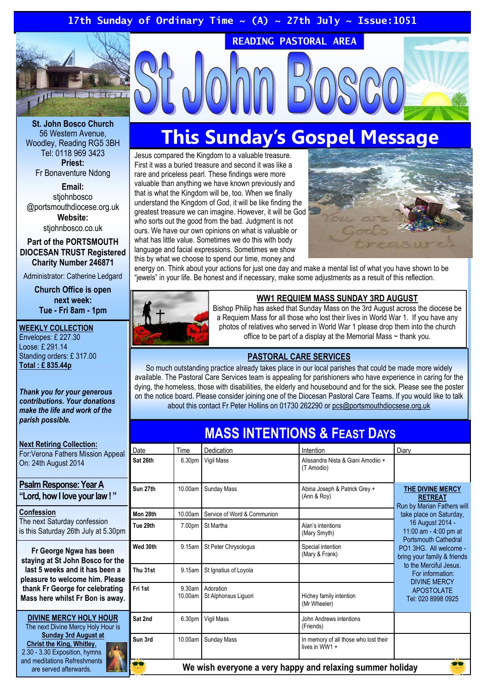#### 17th Sunday of Ordinary Time  $\sim$  (A)  $\sim$  27th July  $\sim$  Issue:1051



St. John Bosco Church 56 Western Avenue, Woodley, Reading RG5 3BH Tel: 0118 969 3423 Priest: Fr Bonaventure Ndong

Email: stiohnbosco @portsmouthdiocese.org.uk Website:

stiohnbosco.co.uk

Part of the PORTSMOUTH DIOCESAN TRUST Registered Charity Number 246871

Administrator: Catherine Ledgard

Church Office is open next week: Tue - Fri 8am - 1pm

#### WEEKLY COLLECTION

Envelopes: £ 227.30 Loose: £ 291.14 Standing orders: £ 317.00 Total : £ 835.44p

Thank you for your generous contributions. Your donations make the life and work of the parish possible.

Next Retiring Collection: For:Verona Fathers Mission Appeal On: 24th August 2014

Psalm Response: Year A "Lord, how I love your law ! "

Confession The next Saturday confession is this Saturday 26th July at 5.30pm

Fr George Ngwa has been staying at St John Bosco for the last 5 weeks and it has been a pleasure to welcome him. Please thank Fr George for celebrating Mass here whilst Fr Bon is away.

DIVINE MERCY HOLY HOUR The next Divine Mercy Holy Hour is Sunday 3rd August at Christ the King, Whitley. 2.30 - 3.30 Exposition, hymns and meditations Refreshments are served afterwards.

## This Sunday's Gospel Message

READING PASTORAL AREA

Jesus compared the Kingdom to a valuable treasure. First it was a buried treasure and second it was like a rare and priceless pearl. These findings were more valuable than anything we have known previously and that is what the Kingdom will be, too. When we finally understand the Kingdom of God, it will be like finding the greatest treasure we can imagine. However, it will be God who sorts out the good from the bad. Judgment is not ours. We have our own opinions on what is valuable or what has little value. Sometimes we do this with body language and facial expressions. Sometimes we show this by what we choose to spend our time, money and



energy on. Think about your actions for just one day and make a mental list of what you have shown to be "jewels" in your life. Be honest and if necessary, make some adjustments as a result of this reflection.



#### WW1 REQUIEM MASS SUNDAY 3RD AUGUST

Bishop Philip has asked that Sunday Mass on the 3rd August across the diocese be a Requiem Mass for all those who lost their lives in World War 1. If you have any photos of relatives who served in World War 1 please drop them into the church office to be part of a display at the Memorial Mass ~ thank you.

#### PASTORAL CARE SERVICES

So much outstanding practice already takes place in our local parishes that could be made more widely available. The Pastoral Care Services team is appealing for parishioners who have experience in caring for the dying, the homeless, those with disabilities, the elderly and housebound and for the sick. Please see the poster on the notice board. Please consider joining one of the Diocesan Pastoral Care Teams. If you would like to talk about this contact Fr Peter Hollins on 01730 262290 or pcs@portsmouthdiocsese.org.uk

### MASS INTENTIONS & FEAST DAYS

| Date                                                      | Time               | Dedication                        | Intention                                               | Diary                                                                                                                                                                                                                                                                                                                                            |
|-----------------------------------------------------------|--------------------|-----------------------------------|---------------------------------------------------------|--------------------------------------------------------------------------------------------------------------------------------------------------------------------------------------------------------------------------------------------------------------------------------------------------------------------------------------------------|
| Sat 26th                                                  | 6.30pm             | Vigil Mass                        | Alissandra Nista & Giani Amodiio +<br>(T Amodio)        |                                                                                                                                                                                                                                                                                                                                                  |
| Sun 27th                                                  | 10.00am            | <b>Sunday Mass</b>                | Abina Joseph & Patrick Grey +<br>(Ann & Roy)            | THE DIVINE MERCY<br><b>RETREAT</b><br>Run by Marian Fathers will<br>take place on Saturday,<br>16 August 2014 -<br>11:00 am - 4:00 pm at<br><b>Portsmouth Cathedral</b><br>PO1 3HG. All welcome -<br>bring your family & friends<br>to the Merciful Jesus.<br>For information:<br><b>DIVINE MERCY</b><br><b>APOSTOLATE</b><br>Tel: 020 8998 0925 |
| Mon 28th                                                  | 10.00am            | Service of Word & Communion       |                                                         |                                                                                                                                                                                                                                                                                                                                                  |
| Tue 29th                                                  | 7.00pm             | St Martha                         | Alan's intentions<br>(Mary Smyth)                       |                                                                                                                                                                                                                                                                                                                                                  |
| Wed 30th                                                  | 9.15am             | St Peter Chrysologus              | Special intention<br>(Mary & Frank)                     |                                                                                                                                                                                                                                                                                                                                                  |
| Thu 31st                                                  | 9.15am             | St Ignatius of Loyola             |                                                         |                                                                                                                                                                                                                                                                                                                                                  |
| Fri 1st                                                   | 9.30am<br>10.00am  | Adoration<br>St Alphonsus Liguori | Hichey family intention<br>(Mr Wheeler)                 |                                                                                                                                                                                                                                                                                                                                                  |
| Sat 2nd                                                   | 6.30 <sub>pm</sub> | Vigil Mass                        | John Andrews intentions<br>(Friends)                    |                                                                                                                                                                                                                                                                                                                                                  |
| Sun 3rd                                                   | 10.00am            | <b>Sunday Mass</b>                | In memory of all those who lost their<br>lives in WW1 + |                                                                                                                                                                                                                                                                                                                                                  |
| We wish everyone a very happy and relaxing summer holiday |                    |                                   |                                                         |                                                                                                                                                                                                                                                                                                                                                  |